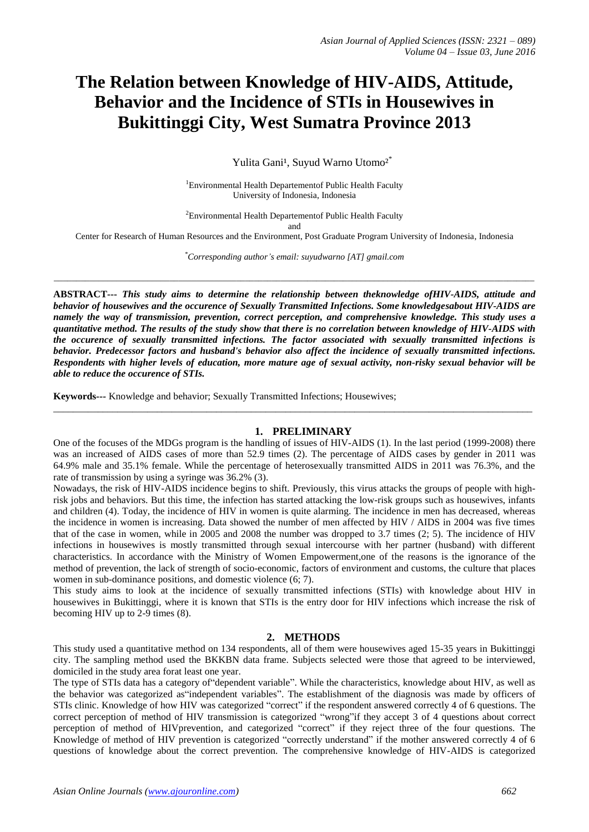# **The Relation between Knowledge of HIV-AIDS, Attitude, Behavior and the Incidence of STIs in Housewives in Bukittinggi City, West Sumatra Province 2013**

Yulita Gani<sup>1</sup>, Suvud Warno Utomo<sup>2\*</sup>

<sup>1</sup>Environmental Health Departement Public Health Faculty University of Indonesia, Indonesia

<sup>2</sup>Environmental Health Departement Public Health Faculty and

Center for Research of Human Resources and the Environment, Post Graduate Program University of Indonesia, Indonesia

*\*Corresponding author's email: suyudwarno [AT] gmail.com*

*\_\_\_\_\_\_\_\_\_\_\_\_\_\_\_\_\_\_\_\_\_\_\_\_\_\_\_\_\_\_\_\_\_\_\_\_\_\_\_\_\_\_\_\_\_\_\_\_\_\_\_\_\_\_\_\_\_\_\_\_\_\_\_\_\_\_\_\_\_\_\_\_\_\_\_\_\_\_\_\_\_\_\_\_\_\_\_\_\_\_\_\_\_\_\_\_\_\_\_\_\_\_\_\_\_\_\_\_*

**ABSTRACT---** *This study aims to determine the relationship between theknowledge ofHIV-AIDS, attitude and behavior of housewives and the occurence of Sexually Transmitted Infections. Some knowledgesabout HIV-AIDS are namely the way of transmission, prevention, correct perception, and comprehensive knowledge. This study uses a quantitative method. The results of the study show that there is no correlation between knowledge of HIV-AIDS with the occurence of sexually transmitted infections. The factor associated with sexually transmitted infections is behavior. Predecessor factors and husband's behavior also affect the incidence of sexually transmitted infections. Respondents with higher levels of education, more mature age of sexual activity, non-risky sexual behavior will be able to reduce the occurence of STIs.*

**Keywords***---* Knowledge and behavior; Sexually Transmitted Infections; Housewives;

## **1. PRELIMINARY**

One of the focuses of the MDGs program is the handling of issues of HIV-AIDS (1). In the last period (1999-2008) there was an increased of AIDS cases of more than 52.9 times (2). The percentage of AIDS cases by gender in 2011 was 64.9% male and 35.1% female. While the percentage of heterosexually transmitted AIDS in 2011 was 76.3%, and the rate of transmission by using a syringe was 36.2% (3).

 $\_$  ,  $\_$  ,  $\_$  ,  $\_$  ,  $\_$  ,  $\_$  ,  $\_$  ,  $\_$  ,  $\_$  ,  $\_$  ,  $\_$  ,  $\_$  ,  $\_$  ,  $\_$  ,  $\_$  ,  $\_$  ,  $\_$  ,  $\_$  ,  $\_$  ,  $\_$  ,  $\_$  ,  $\_$  ,  $\_$  ,  $\_$  ,  $\_$  ,  $\_$  ,  $\_$  ,  $\_$  ,  $\_$  ,  $\_$  ,  $\_$  ,  $\_$  ,  $\_$  ,  $\_$  ,  $\_$  ,  $\_$  ,  $\_$  ,

Nowadays, the risk of HIV-AIDS incidence begins to shift. Previously, this virus attacks the groups of people with highrisk jobs and behaviors. But this time, the infection has started attacking the low-risk groups such as housewives, infants and children (4). Today, the incidence of HIV in women is quite alarming. The incidence in men has decreased, whereas the incidence in women is increasing. Data showed the number of men affected by HIV / AIDS in 2004 was five times that of the case in women, while in 2005 and 2008 the number was dropped to 3.7 times (2; 5). The incidence of HIV infections in housewives is mostly transmitted through sexual intercourse with her partner (husband) with different characteristics. In accordance with the Ministry of Women Empowerment,one of the reasons is the ignorance of the method of prevention, the lack of strength of socio-economic, factors of environment and customs, the culture that places women in sub-dominance positions, and domestic violence (6; 7).

This study aims to look at the incidence of sexually transmitted infections (STIs) with knowledge about HIV in housewives in Bukittinggi, where it is known that STIs is the entry door for HIV infections which increase the risk of becoming HIV up to 2-9 times (8).

#### **2. METHODS**

This study used a quantitative method on 134 respondents, all of them were housewives aged 15-35 years in Bukittinggi city. The sampling method used the BKKBN data frame. Subjects selected were those that agreed to be interviewed, domiciled in the study area forat least one year.

The type of STIs data has a category of"dependent variable". While the characteristics, knowledge about HIV, as well as the behavior was categorized as"independent variables". The establishment of the diagnosis was made by officers of STIs clinic. Knowledge of how HIV was categorized "correct" if the respondent answered correctly 4 of 6 questions. The correct perception of method of HIV transmission is categorized "wrong"if they accept 3 of 4 questions about correct perception of method of HIVprevention, and categorized "correct" if they reject three of the four questions. The Knowledge of method of HIV prevention is categorized "correctly understand" if the mother answered correctly 4 of 6 questions of knowledge about the correct prevention. The comprehensive knowledge of HIV-AIDS is categorized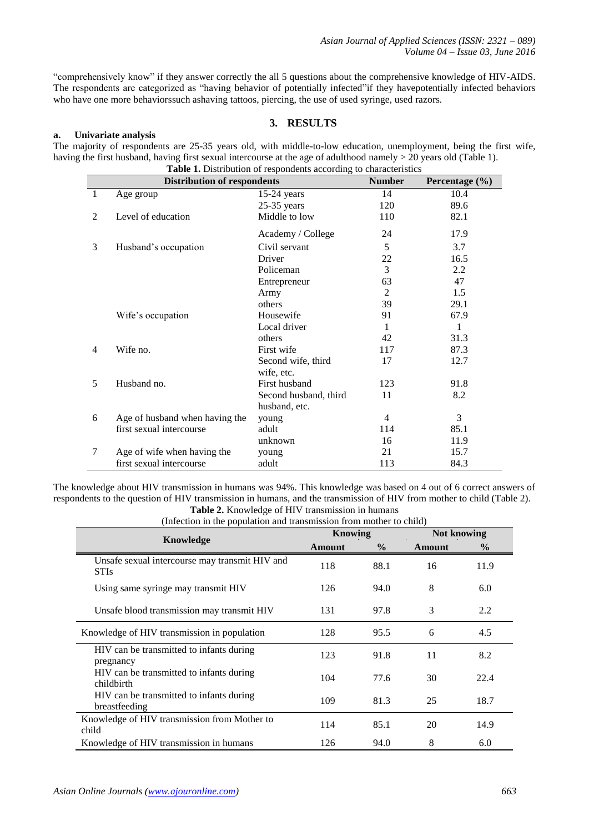"comprehensively know" if they answer correctly the all 5 questions about the comprehensive knowledge of HIV-AIDS. The respondents are categorized as "having behavior of potentially infected"if they havepotentially infected behaviors who have one more behaviorssuch ashaving tattoos, piercing, the use of used syringe, used razors.

# **3. RESULTS**

#### **a. Univariate analysis**

The majority of respondents are 25-35 years old, with middle-to-low education, unemployment, being the first wife, having the first husband, having first sexual intercourse at the age of adulthood namely > 20 years old (Table 1). **Table 1.** Distribution of respondents according to characteristics

|                | <b>Distribution of respondents</b> | <b>rational A.</b> Distribution of respondents according to characteristics | <b>Number</b>  | Percentage $(\% )$ |
|----------------|------------------------------------|-----------------------------------------------------------------------------|----------------|--------------------|
| $\mathbf{1}$   | Age group                          | $15-24$ years                                                               | 14             | 10.4               |
|                |                                    | $25-35$ years                                                               | 120            | 89.6               |
| 2              | Level of education                 | Middle to low                                                               | 110            | 82.1               |
|                |                                    | Academy / College                                                           | 24             | 17.9               |
| 3              | Husband's occupation               | Civil servant                                                               | 5              | 3.7                |
|                |                                    | Driver                                                                      | 22             | 16.5               |
|                |                                    | Policeman                                                                   | 3              | 2.2                |
|                |                                    | Entrepreneur                                                                | 63             | 47                 |
|                |                                    | Army                                                                        | $\overline{2}$ | 1.5                |
|                |                                    | others                                                                      | 39             | 29.1               |
|                | Wife's occupation                  | Housewife                                                                   | 91             | 67.9               |
|                |                                    | Local driver                                                                | 1              | 1                  |
|                |                                    | others                                                                      | 42             | 31.3               |
| $\overline{4}$ | Wife no.                           | First wife                                                                  | 117            | 87.3               |
|                |                                    | Second wife, third                                                          | 17             | 12.7               |
|                |                                    | wife, etc.                                                                  |                |                    |
| 5              | Husband no.                        | First husband                                                               | 123            | 91.8               |
|                |                                    | Second husband, third                                                       | 11             | 8.2                |
|                |                                    | husband, etc.                                                               |                |                    |
| 6              | Age of husband when having the     | young                                                                       | 4              | 3                  |
|                | first sexual intercourse           | adult                                                                       | 114            | 85.1               |
|                |                                    | unknown                                                                     | 16             | 11.9               |
| 7              | Age of wife when having the        | young                                                                       | 21             | 15.7               |
|                | first sexual intercourse           | adult                                                                       | 113            | 84.3               |

The knowledge about HIV transmission in humans was 94%. This knowledge was based on 4 out of 6 correct answers of respondents to the question of HIV transmission in humans, and the transmission of HIV from mother to child (Table 2).

**Table 2.** Knowledge of HIV transmission in humans

| (Infection in the population and transmission from mother to child) |         |               |                    |               |  |  |  |
|---------------------------------------------------------------------|---------|---------------|--------------------|---------------|--|--|--|
|                                                                     | Knowing |               | <b>Not knowing</b> |               |  |  |  |
| Knowledge                                                           | Amount  | $\frac{6}{9}$ | Amount             | $\frac{6}{9}$ |  |  |  |
| Unsafe sexual intercourse may transmit HIV and<br><b>STIs</b>       | 118     | 88.1          | 16                 | 11.9          |  |  |  |
| Using same syringe may transmit HIV                                 | 126     | 94.0          | 8                  | 6.0           |  |  |  |
| Unsafe blood transmission may transmit HIV                          | 131     | 97.8          | 3                  | 2.2           |  |  |  |
| Knowledge of HIV transmission in population                         | 128     | 95.5          | 6                  | 4.5           |  |  |  |
| HIV can be transmitted to infants during<br>pregnancy               | 123     | 91.8          | 11                 | 8.2           |  |  |  |
| HIV can be transmitted to infants during<br>childbirth              | 104     | 77.6          | 30                 | 22.4          |  |  |  |
| HIV can be transmitted to infants during<br>breastfeeding           | 109     | 81.3          | 25                 | 18.7          |  |  |  |
| Knowledge of HIV transmission from Mother to<br>child               | 114     | 85.1          | 20                 | 14.9          |  |  |  |
| Knowledge of HIV transmission in humans                             | 126     | 94.0          | 8                  | 6.0           |  |  |  |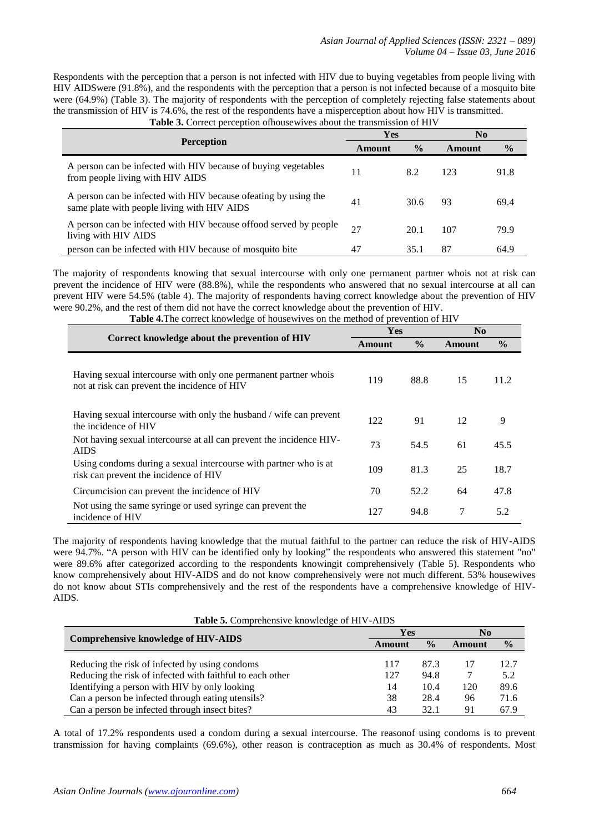Respondents with the perception that a person is not infected with HIV due to buying vegetables from people living with HIV AIDSwere (91.8%), and the respondents with the perception that a person is not infected because of a mosquito bite were (64.9%) (Table 3). The majority of respondents with the perception of completely rejecting false statements about the transmission of HIV is 74.6%, the rest of the respondents have a misperception about how HIV is transmitted. **Table 3.** Correct perception ofhousewives about the transmission of HIV

|                                                                                                                 | Yes    |               | No     |               |
|-----------------------------------------------------------------------------------------------------------------|--------|---------------|--------|---------------|
| <b>Perception</b>                                                                                               | Amount | $\frac{0}{0}$ | Amount | $\frac{6}{9}$ |
| A person can be infected with HIV because of buying vegetables<br>from people living with HIV AIDS              | 11     | 8.2           | 123    | 91.8          |
| A person can be infected with HIV because of eating by using the<br>same plate with people living with HIV AIDS | 41     | 30.6          | 93     | 69.4          |
| A person can be infected with HIV because of food served by people<br>living with HIV AIDS                      | 27     | 20.1          | 107    | 79.9          |
| person can be infected with HIV because of mosquito bite                                                        | 47     | 35.1          | 87     | 64.9          |

The majority of respondents knowing that sexual intercourse with only one permanent partner whois not at risk can prevent the incidence of HIV were (88.8%), while the respondents who answered that no sexual intercourse at all can prevent HIV were 54.5% (table 4). The majority of respondents having correct knowledge about the prevention of HIV were 90.2%, and the rest of them did not have the correct knowledge about the prevention of HIV.

|                                                                                                                 | <b>Yes</b> |               | N <sub>0</sub> |               |  |
|-----------------------------------------------------------------------------------------------------------------|------------|---------------|----------------|---------------|--|
| Correct knowledge about the prevention of HIV                                                                   | Amount     | $\frac{0}{0}$ | Amount         | $\frac{6}{6}$ |  |
| Having sexual intercourse with only one permanent partner whois<br>not at risk can prevent the incidence of HIV | 119        | 88.8          | 15             | 11.2          |  |
| Having sexual intercourse with only the husband / wife can prevent<br>the incidence of HIV                      | 122        | 91            | 12             | 9             |  |
| Not having sexual intercourse at all can prevent the incidence HIV-<br><b>AIDS</b>                              | 73         | 54.5          | 61             | 45.5          |  |
| Using condoms during a sexual intercourse with partner who is at<br>risk can prevent the incidence of HIV       | 109        | 81.3          | 25             | 18.7          |  |
| Circumcision can prevent the incidence of HIV                                                                   | 70         | 52.2          | 64             | 47.8          |  |
| Not using the same syringe or used syringe can prevent the<br>incidence of HIV                                  | 127        | 94.8          | 7              | 5.2           |  |

**Table 4.**The correct knowledge of housewives on the method of prevention of HIV

The majority of respondents having knowledge that the mutual faithful to the partner can reduce the risk of HIV-AIDS were 94.7%. "A person with HIV can be identified only by looking" the respondents who answered this statement "no" were 89.6% after categorized according to the respondents knowingit comprehensively (Table 5). Respondents who know comprehensively about HIV-AIDS and do not know comprehensively were not much different. 53% housewives do not know about STIs comprehensively and the rest of the respondents have a comprehensive knowledge of HIV-AIDS.

| Table 5. Comprehensive knowledge of HIV-AIDS              |        |               |        |               |  |  |
|-----------------------------------------------------------|--------|---------------|--------|---------------|--|--|
| <b>Comprehensive knowledge of HIV-AIDS</b>                | Yes    |               | No     |               |  |  |
|                                                           | Amount | $\frac{0}{0}$ | Amount | $\frac{0}{0}$ |  |  |
| Reducing the risk of infected by using condoms            | 117    | 87.3          |        | 12.7          |  |  |
| Reducing the risk of infected with faithful to each other | 127    | 94.8          |        | 5.2           |  |  |
| Identifying a person with HIV by only looking             | 14     | 10.4          | 120    | 89.6          |  |  |
| Can a person be infected through eating utensils?         | 38     | 28.4          | 96     | 71.6          |  |  |
| Can a person be infected through insect bites?            | 43     | 32.1          | 91     | 67.9          |  |  |

A total of 17.2% respondents used a condom during a sexual intercourse. The reasonof using condoms is to prevent transmission for having complaints (69.6%), other reason is contraception as much as 30.4% of respondents. Most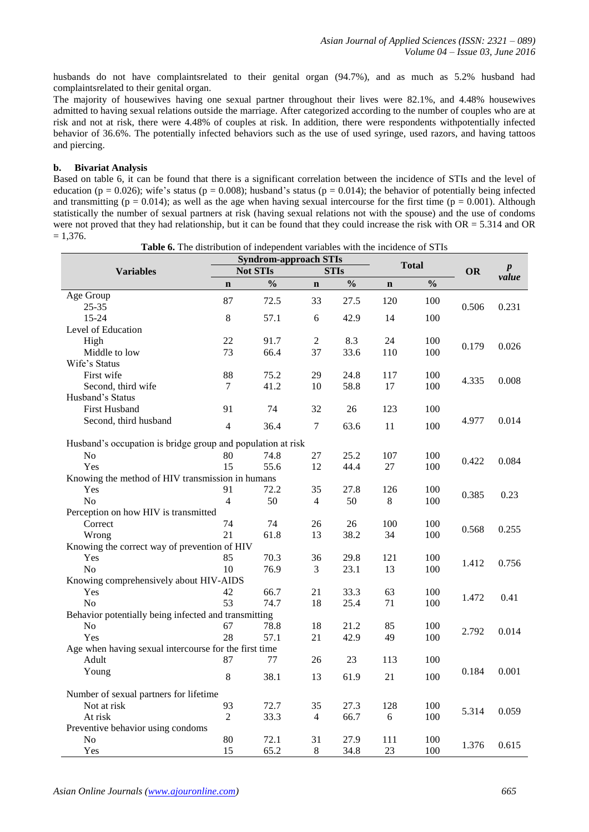husbands do not have complaintsrelated to their genital organ (94.7%), and as much as 5.2% husband had complaintsrelated to their genital organ.

The majority of housewives having one sexual partner throughout their lives were 82.1%, and 4.48% housewives admitted to having sexual relations outside the marriage. After categorized according to the number of couples who are at risk and not at risk, there were 4.48% of couples at risk. In addition, there were respondents withpotentially infected behavior of 36.6%. The potentially infected behaviors such as the use of used syringe, used razors, and having tattoos and piercing.

## **b. Bivariat Analysis**

Based on table 6, it can be found that there is a significant correlation between the incidence of STIs and the level of education ( $p = 0.026$ ); wife's status ( $p = 0.008$ ); husband's status ( $p = 0.014$ ); the behavior of potentially being infected and transmitting ( $p = 0.014$ ); as well as the age when having sexual intercourse for the first time ( $p = 0.001$ ). Although statistically the number of sexual partners at risk (having sexual relations not with the spouse) and the use of condoms were not proved that they had relationship, but it can be found that they could increase the risk with  $OR = 5.314$  and  $OR$  $= 1,376.$ 

| <b>Table 0.</b> The distribution of independent variables with the incluence of STTs<br><b>Syndrom-approach STIs</b> |                |                                |             |               |             |               |                  |       |
|----------------------------------------------------------------------------------------------------------------------|----------------|--------------------------------|-------------|---------------|-------------|---------------|------------------|-------|
| <b>Variables</b>                                                                                                     |                | <b>Not STIs</b><br><b>STIs</b> |             | <b>Total</b>  |             | <b>OR</b>     | $\boldsymbol{p}$ |       |
|                                                                                                                      | $\mathbf n$    | $\frac{0}{0}$                  | $\mathbf n$ | $\frac{0}{0}$ | $\mathbf n$ | $\frac{0}{0}$ |                  | value |
| Age Group                                                                                                            |                |                                |             |               |             |               |                  |       |
| $25 - 35$                                                                                                            | 87             | 72.5                           | 33          | 27.5          | 120         | 100           | 0.506            | 0.231 |
| 15-24                                                                                                                | 8              | 57.1                           | 6           | 42.9          | 14          | 100           |                  |       |
| Level of Education                                                                                                   |                |                                |             |               |             |               |                  |       |
| High                                                                                                                 | 22             | 91.7                           | 2           | 8.3           | 24          | 100           |                  |       |
| Middle to low                                                                                                        | 73             | 66.4                           | 37          | 33.6          | 110         | 100           | 0.179            | 0.026 |
| Wife's Status                                                                                                        |                |                                |             |               |             |               |                  |       |
| First wife                                                                                                           | 88             | 75.2                           | 29          | 24.8          | 117         | 100           |                  |       |
| Second, third wife                                                                                                   | 7              | 41.2                           | 10          | 58.8          | 17          | 100           | 4.335            | 0.008 |
| Husband's Status                                                                                                     |                |                                |             |               |             |               |                  |       |
| <b>First Husband</b>                                                                                                 | 91             | 74                             | 32          | 26            | 123         | 100           |                  |       |
| Second, third husband                                                                                                | 4              | 36.4                           | 7           |               |             | 100           | 4.977            | 0.014 |
|                                                                                                                      |                |                                |             | 63.6          | 11          |               |                  |       |
| Husband's occupation is bridge group and population at risk                                                          |                |                                |             |               |             |               |                  |       |
| No                                                                                                                   | 80             | 74.8                           | 27          | 25.2          | 107         | 100           |                  | 0.084 |
| Yes                                                                                                                  | 15             | 55.6                           | 12          | 44.4          | 27          | 100           | 0.422            |       |
| Knowing the method of HIV transmission in humans                                                                     |                |                                |             |               |             |               |                  |       |
| Yes                                                                                                                  | 91             | 72.2                           | 35          | 27.8          | 126         | 100           | 0.385            | 0.23  |
| N <sub>0</sub>                                                                                                       | $\overline{4}$ | 50                             | 4           | 50            | 8           | 100           |                  |       |
| Perception on how HIV is transmitted                                                                                 |                |                                |             |               |             |               |                  |       |
| Correct                                                                                                              | 74             | 74                             | 26          | 26            | 100         | 100           | 0.568            | 0.255 |
| Wrong                                                                                                                | 21             | 61.8                           | 13          | 38.2          | 34          | 100           |                  |       |
| Knowing the correct way of prevention of HIV                                                                         |                |                                |             |               |             |               |                  |       |
| Yes                                                                                                                  | 85             | 70.3                           | 36          | 29.8          | 121         | 100           | 1.412            | 0.756 |
| N <sub>o</sub>                                                                                                       | 10             | 76.9                           | 3           | 23.1          | 13          | 100           |                  |       |
| Knowing comprehensively about HIV-AIDS                                                                               |                |                                |             |               |             |               |                  |       |
| Yes                                                                                                                  | 42             | 66.7                           | 21          | 33.3          | 63          | 100           | 1.472            | 0.41  |
| N <sub>0</sub>                                                                                                       | 53             | 74.7                           | 18          | 25.4          | 71          | 100           |                  |       |
| Behavior potentially being infected and transmitting                                                                 |                |                                |             |               |             |               |                  |       |
| No                                                                                                                   | 67             | 78.8                           | 18          | 21.2          | 85          | 100           | 2.792            | 0.014 |
| Yes                                                                                                                  | 28             | 57.1                           | 21          | 42.9          | 49          | 100           |                  |       |
| Age when having sexual intercourse for the first time                                                                |                |                                |             |               |             |               |                  |       |
| Adult                                                                                                                | 87             | 77                             | 26          | 23            | 113         | 100           |                  |       |
| Young                                                                                                                | 8              | 38.1                           | 13          | 61.9          | 21          | 100           | 0.184            | 0.001 |
|                                                                                                                      |                |                                |             |               |             |               |                  |       |
| Number of sexual partners for lifetime                                                                               |                |                                |             |               |             |               |                  |       |
| Not at risk                                                                                                          | 93             | 72.7                           | 35          | 27.3          | 128         | 100           | 5.314            | 0.059 |
| At risk                                                                                                              | 2              | 33.3                           | 4           | 66.7          | 6           | 100           |                  |       |
| Preventive behavior using condoms                                                                                    |                |                                |             |               |             |               |                  |       |
| No                                                                                                                   | 80             | 72.1                           | 31          | 27.9          | 111         | 100           | 1.376            | 0.615 |
| Yes                                                                                                                  | 15             | 65.2                           | 8           | 34.8          | 23          | 100           |                  |       |

**Table 6.** The distribution of independent variables with the incidence of STIs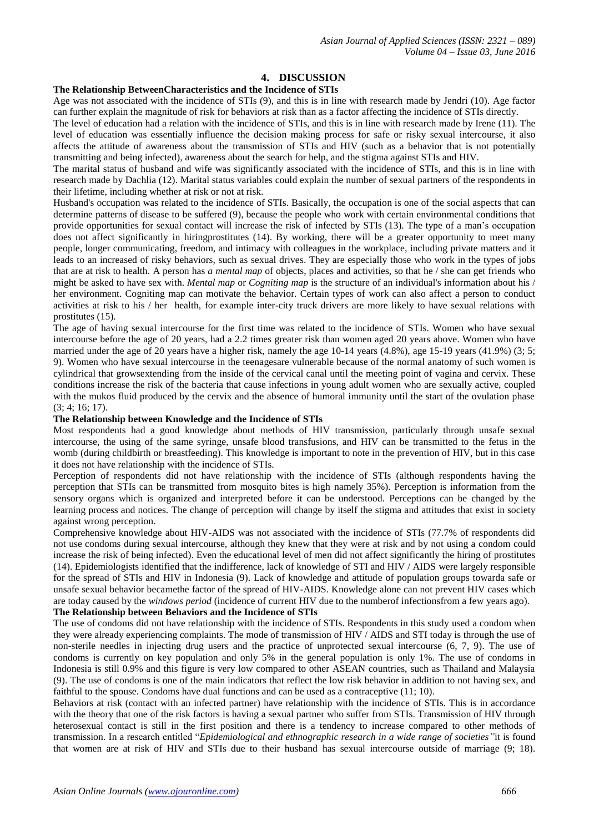# **4. DISCUSSION**

#### **The Relationship BetweenCharacteristics and the Incidence of STIs**

Age was not associated with the incidence of STIs (9), and this is in line with research made by Jendri (10). Age factor can further explain the magnitude of risk for behaviors at risk than as a factor affecting the incidence of STIs directly.

The level of education had a relation with the incidence of STIs, and this is in line with research made by Irene (11). The level of education was essentially influence the decision making process for safe or risky sexual intercourse, it also affects the attitude of awareness about the transmission of STIs and HIV (such as a behavior that is not potentially transmitting and being infected), awareness about the search for help, and the stigma against STIs and HIV.

The marital status of husband and wife was significantly associated with the incidence of STIs, and this is in line with research made by Dachlia (12). Marital status variables could explain the number of sexual partners of the respondents in their lifetime, including whether at risk or not at risk.

Husband's occupation was related to the incidence of STIs. Basically, the occupation is one of the social aspects that can determine patterns of disease to be suffered (9), because the people who work with certain environmental conditions that provide opportunities for sexual contact will increase the risk of infected by STIs (13). The type of a man's occupation does not affect significantly in hiringprostitutes (14). By working, there will be a greater opportunity to meet many people, longer communicating, freedom, and intimacy with colleagues in the workplace, including private matters and it leads to an increased of risky behaviors, such as sexual drives. They are especially those who work in the types of jobs that are at risk to health. A person has *a mental map* of objects, places and activities, so that he / she can get friends who might be asked to have sex with. *Mental map* or *Cogniting map* is the structure of an individual's information about his / her environment. Cogniting map can motivate the behavior. Certain types of work can also affect a person to conduct activities at risk to his / her health, for example inter-city truck drivers are more likely to have sexual relations with prostitutes (15).

The age of having sexual intercourse for the first time was related to the incidence of STIs. Women who have sexual intercourse before the age of 20 years, had a 2.2 times greater risk than women aged 20 years above. Women who have married under the age of 20 years have a higher risk, namely the age 10-14 years (4.8%), age 15-19 years (41.9%) (3; 5; 9). Women who have sexual intercourse in the teenagesare vulnerable because of the normal anatomy of such women is cylindrical that growsextending from the inside of the cervical canal until the meeting point of vagina and cervix. These conditions increase the risk of the bacteria that cause infections in young adult women who are sexually active, coupled with the mukos fluid produced by the cervix and the absence of humoral immunity until the start of the ovulation phase (3; 4; 16; 17).

#### **The Relationship between Knowledge and the Incidence of STIs**

Most respondents had a good knowledge about methods of HIV transmission, particularly through unsafe sexual intercourse, the using of the same syringe, unsafe blood transfusions, and HIV can be transmitted to the fetus in the womb (during childbirth or breastfeeding). This knowledge is important to note in the prevention of HIV, but in this case it does not have relationship with the incidence of STIs.

Perception of respondents did not have relationship with the incidence of STIs (although respondents having the perception that STIs can be transmitted from mosquito bites is high namely 35%). Perception is information from the sensory organs which is organized and interpreted before it can be understood. Perceptions can be changed by the learning process and notices. The change of perception will change by itself the stigma and attitudes that exist in society against wrong perception.

Comprehensive knowledge about HIV-AIDS was not associated with the incidence of STIs (77.7% of respondents did not use condoms during sexual intercourse, although they knew that they were at risk and by not using a condom could increase the risk of being infected). Even the educational level of men did not affect significantly the hiring of prostitutes (14). Epidemiologists identified that the indifference, lack of knowledge of STI and HIV / AIDS were largely responsible for the spread of STIs and HIV in Indonesia (9). Lack of knowledge and attitude of population groups towarda safe or unsafe sexual behavior becamethe factor of the spread of HIV-AIDS. Knowledge alone can not prevent HIV cases which are today caused by the *windows period* (incidence of current HIV due to the numberof infectionsfrom a few years ago).

#### **The Relationship between Behaviors and the Incidence of STIs**

The use of condoms did not have relationship with the incidence of STIs. Respondents in this study used a condom when they were already experiencing complaints. The mode of transmission of HIV / AIDS and STI today is through the use of non-sterile needles in injecting drug users and the practice of unprotected sexual intercourse (6, 7, 9). The use of condoms is currently on key population and only 5% in the general population is only 1%. The use of condoms in Indonesia is still 0.9% and this figure is very low compared to other ASEAN countries, such as Thailand and Malaysia (9). The use of condoms is one of the main indicators that reflect the low risk behavior in addition to not having sex, and faithful to the spouse. Condoms have dual functions and can be used as a contraceptive (11; 10).

Behaviors at risk (contact with an infected partner) have relationship with the incidence of STIs. This is in accordance with the theory that one of the risk factors is having a sexual partner who suffer from STIs. Transmission of HIV through heterosexual contact is still in the first position and there is a tendency to increase compared to other methods of transmission. In a research entitled "*Epidemiological and ethnographic research in a wide range of societies"*it is found that women are at risk of HIV and STIs due to their husband has sexual intercourse outside of marriage (9; 18).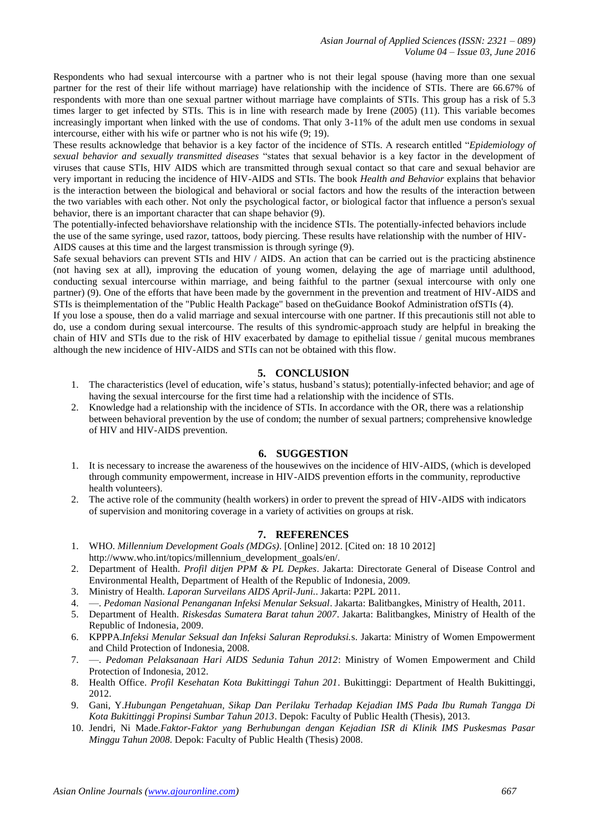Respondents who had sexual intercourse with a partner who is not their legal spouse (having more than one sexual partner for the rest of their life without marriage) have relationship with the incidence of STIs. There are 66.67% of respondents with more than one sexual partner without marriage have complaints of STIs. This group has a risk of 5.3 times larger to get infected by STIs. This is in line with research made by Irene (2005) (11). This variable becomes increasingly important when linked with the use of condoms. That only 3-11% of the adult men use condoms in sexual intercourse, either with his wife or partner who is not his wife (9; 19).

These results acknowledge that behavior is a key factor of the incidence of STIs. A research entitled "*Epidemiology of sexual behavior and sexually transmitted diseases* "states that sexual behavior is a key factor in the development of viruses that cause STIs, HIV AIDS which are transmitted through sexual contact so that care and sexual behavior are very important in reducing the incidence of HIV-AIDS and STIs. The book *Health and Behavior* explains that behavior is the interaction between the biological and behavioral or social factors and how the results of the interaction between the two variables with each other. Not only the psychological factor, or biological factor that influence a person's sexual behavior, there is an important character that can shape behavior (9).

The potentially-infected behaviorshave relationship with the incidence STIs. The potentially-infected behaviors include the use of the same syringe, used razor, tattoos, body piercing. These results have relationship with the number of HIV-AIDS causes at this time and the largest transmission is through syringe (9).

Safe sexual behaviors can prevent STIs and HIV / AIDS. An action that can be carried out is the practicing abstinence (not having sex at all), improving the education of young women, delaying the age of marriage until adulthood, conducting sexual intercourse within marriage, and being faithful to the partner (sexual intercourse with only one partner) (9). One of the efforts that have been made by the government in the prevention and treatment of HIV-AIDS and STIs is theimplementation of the "Public Health Package" based on theGuidance Bookof Administration ofSTIs (4).

If you lose a spouse, then do a valid marriage and sexual intercourse with one partner. If this precautionis still not able to do, use a condom during sexual intercourse. The results of this syndromic-approach study are helpful in breaking the chain of HIV and STIs due to the risk of HIV exacerbated by damage to epithelial tissue / genital mucous membranes although the new incidence of HIV-AIDS and STIs can not be obtained with this flow.

# **5. CONCLUSION**

- 1. The characteristics (level of education, wife's status, husband's status); potentially-infected behavior; and age of having the sexual intercourse for the first time had a relationship with the incidence of STIs.
- 2. Knowledge had a relationship with the incidence of STIs. In accordance with the OR, there was a relationship between behavioral prevention by the use of condom; the number of sexual partners; comprehensive knowledge of HIV and HIV-AIDS prevention.

## **6. SUGGESTION**

- 1. It is necessary to increase the awareness of the housewives on the incidence of HIV-AIDS, (which is developed through community empowerment, increase in HIV-AIDS prevention efforts in the community, reproductive health volunteers).
- 2. The active role of the community (health workers) in order to prevent the spread of HIV-AIDS with indicators of supervision and monitoring coverage in a variety of activities on groups at risk.

## **7. REFERENCES**

- 1. WHO. *Millennium Development Goals (MDGs)*. [Online] 2012. [Cited on: 18 10 2012] http://www.who.int/topics/millennium\_development\_goals/en/.
- 2. Department of Health. *Profil ditjen PPM & PL Depkes*. Jakarta: Directorate General of Disease Control and Environmental Health, Department of Health of the Republic of Indonesia, 2009.
- 3. Ministry of Health. *Laporan Surveilans AIDS April-Juni.*. Jakarta: P2PL 2011.
- 4. —. *Pedoman Nasional Penanganan Infeksi Menular Seksual*. Jakarta: Balitbangkes, Ministry of Health, 2011.
- 5. Department of Health. *Riskesdas Sumatera Barat tahun 2007*. Jakarta: Balitbangkes, Ministry of Health of the Republic of Indonesia, 2009.
- 6. KPPPA.*Infeksi Menular Seksual dan Infeksi Saluran Reproduksi.*s. Jakarta: Ministry of Women Empowerment and Child Protection of Indonesia, 2008.
- 7. —. *Pedoman Pelaksanaan Hari AIDS Sedunia Tahun 2012*: Ministry of Women Empowerment and Child Protection of Indonesia, 2012.
- 8. Health Office. *Profil Kesehatan Kota Bukittinggi Tahun 201*. Bukittinggi: Department of Health Bukittinggi, 2012.
- 9. Gani, Y.*Hubungan Pengetahuan, Sikap Dan Perilaku Terhadap Kejadian IMS Pada Ibu Rumah Tangga Di Kota Bukittinggi Propinsi Sumbar Tahun 2013*. Depok: Faculty of Public Health (Thesis), 2013.
- 10. Jendri, Ni Made.*Faktor-Faktor yang Berhubungan dengan Kejadian ISR di Klinik IMS Puskesmas Pasar Minggu Tahun 2008*. Depok: Faculty of Public Health (Thesis) 2008.